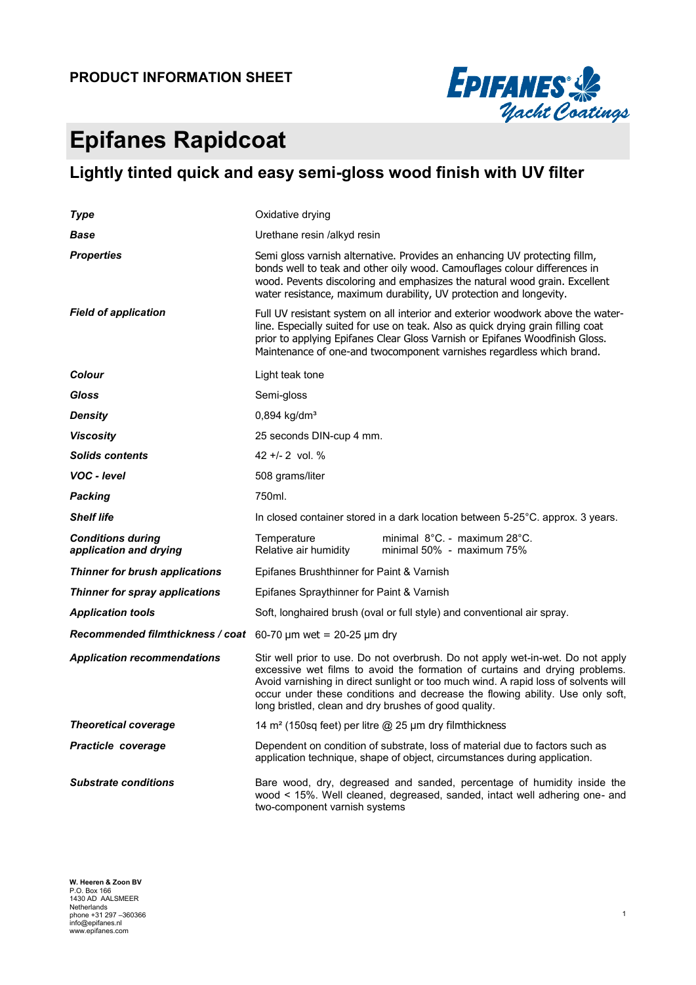

# **Epifanes Rapidcoat**

### **Lightly tinted quick and easy semi-gloss wood finish with UV filter**

| Type                                               | Oxidative drying                                                                                                                                                                                                                                                                                                                                                                                |  |  |  |  |
|----------------------------------------------------|-------------------------------------------------------------------------------------------------------------------------------------------------------------------------------------------------------------------------------------------------------------------------------------------------------------------------------------------------------------------------------------------------|--|--|--|--|
| Base                                               | Urethane resin /alkyd resin                                                                                                                                                                                                                                                                                                                                                                     |  |  |  |  |
| <b>Properties</b>                                  | Semi gloss varnish alternative. Provides an enhancing UV protecting fillm,<br>bonds well to teak and other oily wood. Camouflages colour differences in<br>wood. Pevents discoloring and emphasizes the natural wood grain. Excellent<br>water resistance, maximum durability, UV protection and longevity.                                                                                     |  |  |  |  |
| <b>Field of application</b>                        | Full UV resistant system on all interior and exterior woodwork above the water-<br>line. Especially suited for use on teak. Also as quick drying grain filling coat<br>prior to applying Epifanes Clear Gloss Varnish or Epifanes Woodfinish Gloss.<br>Maintenance of one-and twocomponent varnishes regardless which brand.                                                                    |  |  |  |  |
| Colour                                             | Light teak tone                                                                                                                                                                                                                                                                                                                                                                                 |  |  |  |  |
| Gloss                                              | Semi-gloss                                                                                                                                                                                                                                                                                                                                                                                      |  |  |  |  |
| <b>Density</b>                                     | $0,894$ kg/dm <sup>3</sup>                                                                                                                                                                                                                                                                                                                                                                      |  |  |  |  |
| <b>Viscosity</b>                                   | 25 seconds DIN-cup 4 mm.                                                                                                                                                                                                                                                                                                                                                                        |  |  |  |  |
| <b>Solids contents</b>                             | 42 +/- 2 vol. $%$                                                                                                                                                                                                                                                                                                                                                                               |  |  |  |  |
| VOC - level                                        | 508 grams/liter                                                                                                                                                                                                                                                                                                                                                                                 |  |  |  |  |
| <b>Packing</b>                                     | 750ml.                                                                                                                                                                                                                                                                                                                                                                                          |  |  |  |  |
| <b>Shelf life</b>                                  | In closed container stored in a dark location between 5-25°C. approx. 3 years.                                                                                                                                                                                                                                                                                                                  |  |  |  |  |
| <b>Conditions during</b><br>application and drying | Temperature<br>minimal $8^{\circ}$ C. - maximum 28 $^{\circ}$ C.<br>Relative air humidity<br>minimal 50% - maximum 75%                                                                                                                                                                                                                                                                          |  |  |  |  |
| <b>Thinner for brush applications</b>              | Epifanes Brushthinner for Paint & Varnish                                                                                                                                                                                                                                                                                                                                                       |  |  |  |  |
| Thinner for spray applications                     | Epifanes Spraythinner for Paint & Varnish                                                                                                                                                                                                                                                                                                                                                       |  |  |  |  |
| <b>Application tools</b>                           | Soft, longhaired brush (oval or full style) and conventional air spray.                                                                                                                                                                                                                                                                                                                         |  |  |  |  |
| Recommended filmthickness / coat                   | 60-70 $\mu$ m wet = 20-25 $\mu$ m dry                                                                                                                                                                                                                                                                                                                                                           |  |  |  |  |
| <b>Application recommendations</b>                 | Stir well prior to use. Do not overbrush. Do not apply wet-in-wet. Do not apply<br>excessive wet films to avoid the formation of curtains and drying problems.<br>Avoid varnishing in direct sunlight or too much wind. A rapid loss of solvents will<br>occur under these conditions and decrease the flowing ability. Use only soft,<br>long bristled, clean and dry brushes of good quality. |  |  |  |  |
| <b>Theoretical coverage</b>                        | 14 m <sup>2</sup> (150sq feet) per litre @ 25 µm dry filmthickness                                                                                                                                                                                                                                                                                                                              |  |  |  |  |
| Practicle coverage                                 | Dependent on condition of substrate, loss of material due to factors such as<br>application technique, shape of object, circumstances during application.                                                                                                                                                                                                                                       |  |  |  |  |
| <b>Substrate conditions</b>                        | Bare wood, dry, degreased and sanded, percentage of humidity inside the<br>wood < 15%. Well cleaned, degreased, sanded, intact well adhering one- and<br>two-component varnish systems                                                                                                                                                                                                          |  |  |  |  |